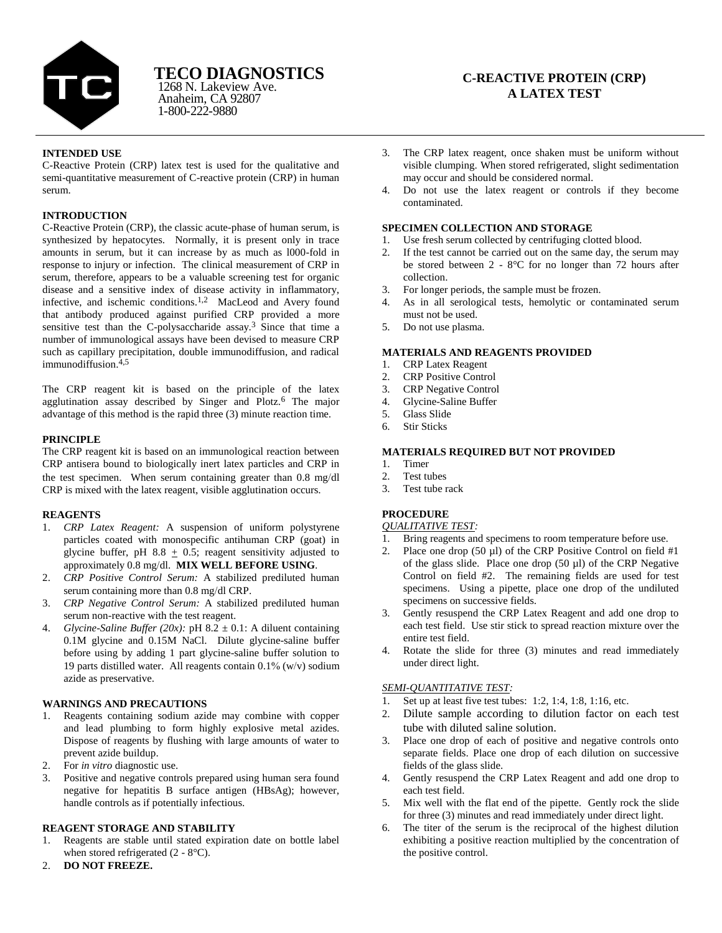

# **TECO DIAGNOSTICS**

Anaheim, CA 92807 1-800-222-9880 1268 N. Lakeview Ave.

## **C-REACTIVE PROTEIN (CRP) A LATEX TEST**

## **INTENDED USE**

C-Reactive Protein (CRP) latex test is used for the qualitative and semi-quantitative measurement of C-reactive protein (CRP) in human serum.

## **INTRODUCTION**

C-Reactive Protein (CRP), the classic acute-phase of human serum, is synthesized by hepatocytes. Normally, it is present only in trace amounts in serum, but it can increase by as much as l000-fold in response to injury or infection. The clinical measurement of CRP in serum, therefore, appears to be a valuable screening test for organic disease and a sensitive index of disease activity in inflammatory, infective, and ischemic conditions.<sup>1,2</sup> MacLeod and Avery found that antibody produced against purified CRP provided a more sensitive test than the C-polysaccharide assay.<sup>3</sup> Since that time a number of immunological assays have been devised to measure CRP such as capillary precipitation, double immunodiffusion, and radical immunodiffusion. $4,5$ 

The CRP reagent kit is based on the principle of the latex agglutination assay described by Singer and Plotz.<sup>6</sup> The major advantage of this method is the rapid three (3) minute reaction time.

## **PRINCIPLE**

The CRP reagent kit is based on an immunological reaction between CRP antisera bound to biologically inert latex particles and CRP in the test specimen. When serum containing greater than 0.8 mg/dl CRP is mixed with the latex reagent, visible agglutination occurs.

#### **REAGENTS**

- 1. *CRP Latex Reagent:* A suspension of uniform polystyrene particles coated with monospecific antihuman CRP (goat) in glycine buffer, pH 8.8  $\pm$  0.5; reagent sensitivity adjusted to approximately 0.8 mg/dl. **MIX WELL BEFORE USING**.
- 2. *CRP Positive Control Serum:* A stabilized prediluted human serum containing more than 0.8 mg/dl CRP.
- 3. *CRP Negative Control Serum:* A stabilized prediluted human serum non-reactive with the test reagent.
- 4. *Glycine-Saline Buffer (20x):* pH 8.2  $\pm$  0.1: A diluent containing 0.1M glycine and 0.15M NaCl. Dilute glycine-saline buffer before using by adding 1 part glycine-saline buffer solution to 19 parts distilled water. All reagents contain  $0.1\%$  (w/v) sodium azide as preservative.

## **WARNINGS AND PRECAUTIONS**

- 1. Reagents containing sodium azide may combine with copper and lead plumbing to form highly explosive metal azides. Dispose of reagents by flushing with large amounts of water to prevent azide buildup.
- 2. For *in vitro* diagnostic use.
- 3. Positive and negative controls prepared using human sera found negative for hepatitis B surface antigen (HBsAg); however, handle controls as if potentially infectious.

## **REAGENT STORAGE AND STABILITY**

- 1. Reagents are stable until stated expiration date on bottle label when stored refrigerated  $(2 - 8$ <sup>o</sup>C).
- 2. **DO NOT FREEZE.**
- 3. The CRP latex reagent, once shaken must be uniform without visible clumping. When stored refrigerated, slight sedimentation may occur and should be considered normal.
- 4. Do not use the latex reagent or controls if they become contaminated.

## **SPECIMEN COLLECTION AND STORAGE**

- 1. Use fresh serum collected by centrifuging clotted blood.
- 2. If the test cannot be carried out on the same day, the serum may be stored between 2 - 8°C for no longer than 72 hours after collection.
- 3. For longer periods, the sample must be frozen.
- 4. As in all serological tests, hemolytic or contaminated serum must not be used.
- 5. Do not use plasma.

#### **MATERIALS AND REAGENTS PROVIDED**

- 1. CRP Latex Reagent
- 2. CRP Positive Control
- 3. CRP Negative Control
- 4. Glycine-Saline Buffer
- 5. Glass Slide
- 6. Stir Sticks

#### **MATERIALS REQUIRED BUT NOT PROVIDED**

- 1. Timer
- 2. Test tubes
- 3. Test tube rack

## **PROCEDURE**

## *QUALITATIVE TEST:*

- 1. Bring reagents and specimens to room temperature before use.
- 2. Place one drop  $(50 \text{ µ})$  of the CRP Positive Control on field #1 of the glass slide. Place one drop (50 µl) of the CRP Negative Control on field #2. The remaining fields are used for test specimens. Using a pipette, place one drop of the undiluted specimens on successive fields.
- 3. Gently resuspend the CRP Latex Reagent and add one drop to each test field. Use stir stick to spread reaction mixture over the entire test field.
- 4. Rotate the slide for three (3) minutes and read immediately under direct light.

## *SEMI-QUANTITATIVE TEST:*

- 1. Set up at least five test tubes: 1:2, 1:4, 1:8, 1:16, etc.
- 2. Dilute sample according to dilution factor on each test tube with diluted saline solution.
- 3. Place one drop of each of positive and negative controls onto separate fields. Place one drop of each dilution on successive fields of the glass slide.
- 4. Gently resuspend the CRP Latex Reagent and add one drop to each test field.
- 5. Mix well with the flat end of the pipette. Gently rock the slide for three (3) minutes and read immediately under direct light.
- 6. The titer of the serum is the reciprocal of the highest dilution exhibiting a positive reaction multiplied by the concentration of the positive control.